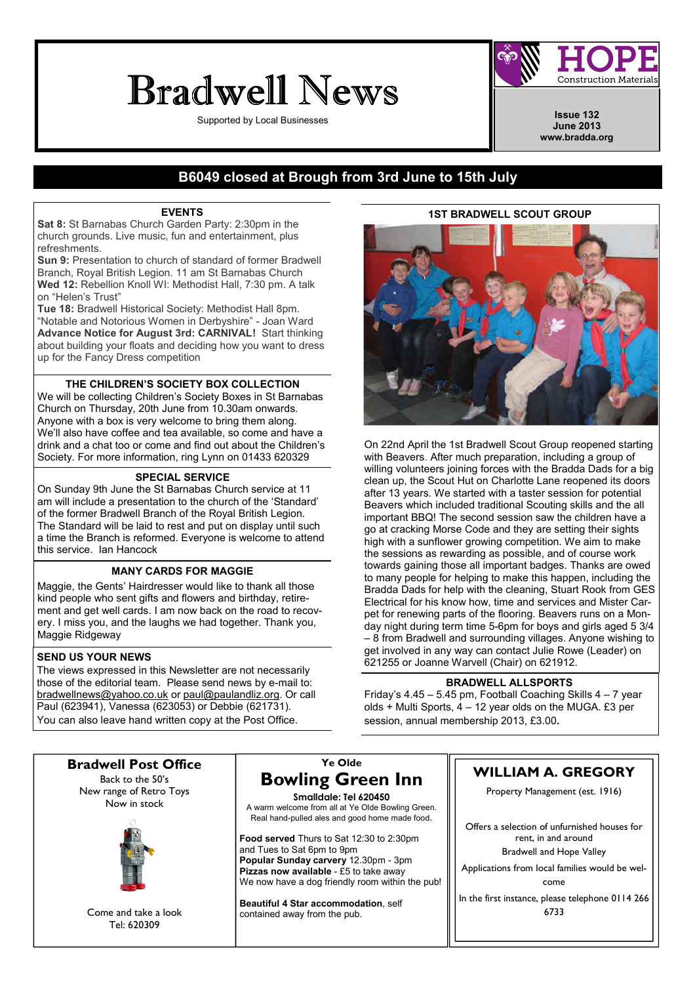# Bradwell News

Supported by Local Businesses **Issue 132 Issue 132** 

**Construction Materials** 

June 2013 www.bradda.org

# B6049 closed at Brough from 3rd June to 15th July

# EVENTS

Sat 8: St Barnabas Church Garden Party: 2:30pm in the church grounds. Live music, fun and entertainment, plus refreshments.

Sun 9: Presentation to church of standard of former Bradwell Branch, Royal British Legion. 11 am St Barnabas Church Wed 12: Rebellion Knoll WI: Methodist Hall, 7:30 pm. A talk on "Helen's Trust"

Tue 18: Bradwell Historical Society: Methodist Hall 8pm. "Notable and Notorious Women in Derbyshire" - Joan Ward Advance Notice for August 3rd: CARNIVAL! Start thinking about building your floats and deciding how you want to dress up for the Fancy Dress competition

# THE CHILDREN'S SOCIETY BOX COLLECTION

We will be collecting Children's Society Boxes in St Barnabas Church on Thursday, 20th June from 10.30am onwards. Anyone with a box is very welcome to bring them along. We'll also have coffee and tea available, so come and have a drink and a chat too or come and find out about the Children's Society. For more information, ring Lynn on 01433 620329

## SPECIAL SERVICE

On Sunday 9th June the St Barnabas Church service at 11 am will include a presentation to the church of the 'Standard' of the former Bradwell Branch of the Royal British Legion. The Standard will be laid to rest and put on display until such a time the Branch is reformed. Everyone is welcome to attend this service. Ian Hancock

# MANY CARDS FOR MAGGIE

Maggie, the Gents' Hairdresser would like to thank all those kind people who sent gifts and flowers and birthday, retirement and get well cards. I am now back on the road to recovery. I miss you, and the laughs we had together. Thank you, Maggie Ridgeway

# SEND US YOUR NEWS

The views expressed in this Newsletter are not necessarily those of the editorial team. Please send news by e-mail to: bradwellnews@yahoo.co.uk or paul@paulandliz.org. Or call Paul (623941), Vanessa (623053) or Debbie (621731). You can also leave hand written copy at the Post Office.

## 1ST BRADWELL SCOUT GROUP



On 22nd April the 1st Bradwell Scout Group reopened starting with Beavers. After much preparation, including a group of willing volunteers joining forces with the Bradda Dads for a big clean up, the Scout Hut on Charlotte Lane reopened its doors after 13 years. We started with a taster session for potential Beavers which included traditional Scouting skills and the all important BBQ! The second session saw the children have a go at cracking Morse Code and they are setting their sights high with a sunflower growing competition. We aim to make the sessions as rewarding as possible, and of course work towards gaining those all important badges. Thanks are owed to many people for helping to make this happen, including the Bradda Dads for help with the cleaning, Stuart Rook from GES Electrical for his know how, time and services and Mister Carpet for renewing parts of the flooring. Beavers runs on a Monday night during term time 5-6pm for boys and girls aged 5 3/4 – 8 from Bradwell and surrounding villages. Anyone wishing to get involved in any way can contact Julie Rowe (Leader) on 621255 or Joanne Warvell (Chair) on 621912.

### BRADWELL ALLSPORTS

Friday's 4.45 – 5.45 pm, Football Coaching Skills 4 – 7 year olds + Multi Sports, 4 – 12 year olds on the MUGA. £3 per session, annual membership 2013, £3.00.

Bradwell Post Office Back to the 50's New range of Retro Toys Now in stock



Come and take a look Tel: 620309

# Ye Olde Bowling Green Inn

Smalldale: Tel 620450 A warm welcome from all at Ye Olde Bowling Green. Real hand-pulled ales and good home made food.

Food served Thurs to Sat 12:30 to 2:30pm and Tues to Sat 6pm to 9pm Popular Sunday carvery 12.30pm - 3pm Pizzas now available - £5 to take away We now have a dog friendly room within the pub!

Beautiful 4 Star accommodation, self contained away from the pub.

# WILLIAM A. GREGORY

Property Management (est. 1916)

Offers a selection of unfurnished houses for rent, in and around

Bradwell and Hope Valley

Applications from local families would be welcome

In the first instance, please telephone 0114 266 6733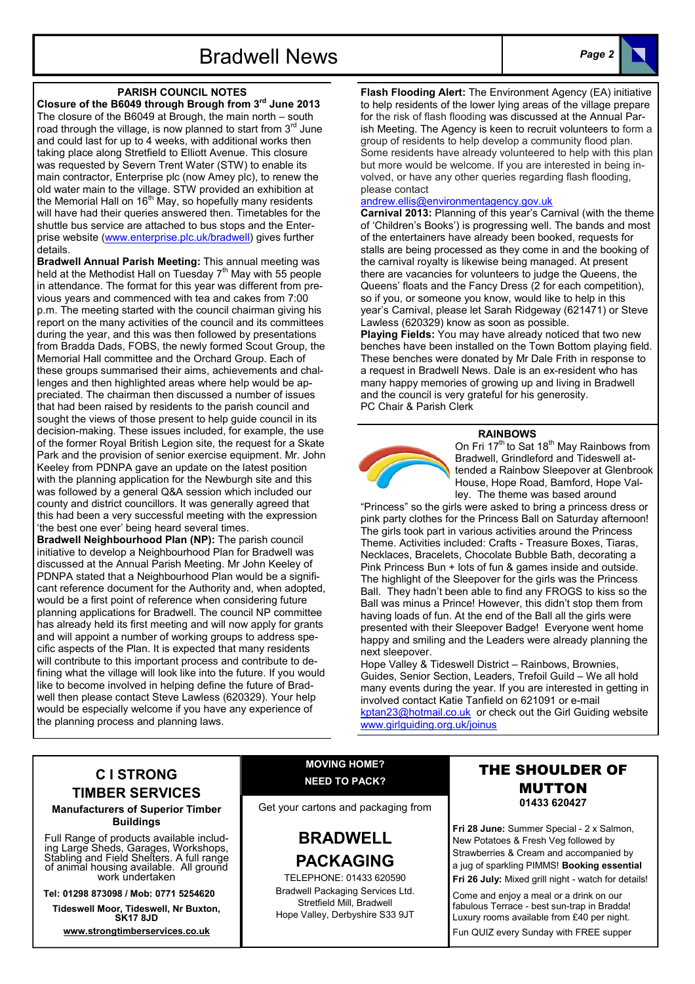

## PARISH COUNCIL NOTES

Closure of the B6049 through Brough from 3rd June 2013 The closure of the B6049 at Brough, the main north – south road through the village, is now planned to start from  $3<sup>rd</sup>$  June and could last for up to 4 weeks, with additional works then taking place along Stretfield to Elliott Avenue. This closure was requested by Severn Trent Water (STW) to enable its main contractor, Enterprise plc (now Amey plc), to renew the old water main to the village. STW provided an exhibition at the Memorial Hall on  $16<sup>th</sup>$  May, so hopefully many residents will have had their queries answered then. Timetables for the shuttle bus service are attached to bus stops and the Enterprise website (www.enterprise.plc.uk/bradwell) gives further details.

Bradwell Annual Parish Meeting: This annual meeting was held at the Methodist Hall on Tuesday  $7<sup>th</sup>$  May with 55 people in attendance. The format for this year was different from previous years and commenced with tea and cakes from 7:00 p.m. The meeting started with the council chairman giving his report on the many activities of the council and its committees during the year, and this was then followed by presentations from Bradda Dads, FOBS, the newly formed Scout Group, the Memorial Hall committee and the Orchard Group. Each of these groups summarised their aims, achievements and challenges and then highlighted areas where help would be appreciated. The chairman then discussed a number of issues that had been raised by residents to the parish council and sought the views of those present to help guide council in its decision-making. These issues included, for example, the use of the former Royal British Legion site, the request for a Skate Park and the provision of senior exercise equipment. Mr. John Keeley from PDNPA gave an update on the latest position with the planning application for the Newburgh site and this was followed by a general Q&A session which included our county and district councillors. It was generally agreed that this had been a very successful meeting with the expression 'the best one ever' being heard several times.

Bradwell Neighbourhood Plan (NP): The parish council initiative to develop a Neighbourhood Plan for Bradwell was discussed at the Annual Parish Meeting. Mr John Keeley of PDNPA stated that a Neighbourhood Plan would be a significant reference document for the Authority and, when adopted, would be a first point of reference when considering future planning applications for Bradwell. The council NP committee has already held its first meeting and will now apply for grants and will appoint a number of working groups to address specific aspects of the Plan. It is expected that many residents will contribute to this important process and contribute to defining what the village will look like into the future. If you would like to become involved in helping define the future of Bradwell then please contact Steve Lawless (620329). Your help would be especially welcome if you have any experience of the planning process and planning laws.

Flash Flooding Alert: The Environment Agency (EA) initiative to help residents of the lower lying areas of the village prepare for the risk of flash flooding was discussed at the Annual Parish Meeting. The Agency is keen to recruit volunteers to form a group of residents to help develop a community flood plan. Some residents have already volunteered to help with this plan but more would be welcome. If you are interested in being involved, or have any other queries regarding flash flooding, please contact

### andrew.ellis@environmentagency.gov.uk

Carnival 2013: Planning of this year's Carnival (with the theme of 'Children's Books') is progressing well. The bands and most of the entertainers have already been booked, requests for stalls are being processed as they come in and the booking of the carnival royalty is likewise being managed. At present there are vacancies for volunteers to judge the Queens, the Queens' floats and the Fancy Dress (2 for each competition), so if you, or someone you know, would like to help in this year's Carnival, please let Sarah Ridgeway (621471) or Steve Lawless (620329) know as soon as possible.

Playing Fields: You may have already noticed that two new benches have been installed on the Town Bottom playing field. These benches were donated by Mr Dale Frith in response to a request in Bradwell News. Dale is an ex-resident who has many happy memories of growing up and living in Bradwell and the council is very grateful for his generosity. PC Chair & Parish Clerk

### RAINBOWS



On Fri 17<sup>th</sup> to Sat 18<sup>th</sup> May Rainbows from Bradwell, Grindleford and Tideswell attended a Rainbow Sleepover at Glenbrook House, Hope Road, Bamford, Hope Valley. The theme was based around

"Princess" so the girls were asked to bring a princess dress or pink party clothes for the Princess Ball on Saturday afternoon! The girls took part in various activities around the Princess Theme. Activities included: Crafts - Treasure Boxes, Tiaras, Necklaces, Bracelets, Chocolate Bubble Bath, decorating a Pink Princess Bun + lots of fun & games inside and outside. The highlight of the Sleepover for the girls was the Princess Ball. They hadn't been able to find any FROGS to kiss so the Ball was minus a Prince! However, this didn't stop them from having loads of fun. At the end of the Ball all the girls were presented with their Sleepover Badge! Everyone went home happy and smiling and the Leaders were already planning the next sleepover.

Hope Valley & Tideswell District – Rainbows, Brownies, Guides, Senior Section, Leaders, Trefoil Guild – We all hold many events during the year. If you are interested in getting in involved contact Katie Tanfield on 621091 or e-mail kptan23@hotmail.co.uk or check out the Girl Guiding website www.girlguiding.org.uk/joinus

# C I STRONG TIMBER SERVICES

Manufacturers of Superior Timber Buildings

Full Range of products available including Large Sheds, Garages, Workshops, Stabling and Field Shelters. A full range of animal housing available. All ground work undertaken

Tel: 01298 873098 / Mob: 0771 5254620

Tideswell Moor, Tideswell, Nr Buxton, SK17 8JD

www.strongtimberservices.co.uk

# MOVING HOME? NEED TO PACK?

Get your cartons and packaging from

# BRADWELL PACKAGING

TELEPHONE: 01433 620590 Bradwell Packaging Services Ltd. Stretfield Mill, Bradwell Hope Valley, Derbyshire S33 9JT

# THE SHOULDER OF MUTTON 01433 620427

Fri 28 June: Summer Special - 2 x Salmon, New Potatoes & Fresh Veg followed by Strawberries & Cream and accompanied by a jug of sparkling PIMMS! Booking essential Fri 26 July: Mixed grill night - watch for details!

Come and enjoy a meal or a drink on our fabulous Terrace - best sun-trap in Bradda! Luxury rooms available from £40 per night. Fun QUIZ every Sunday with FREE supper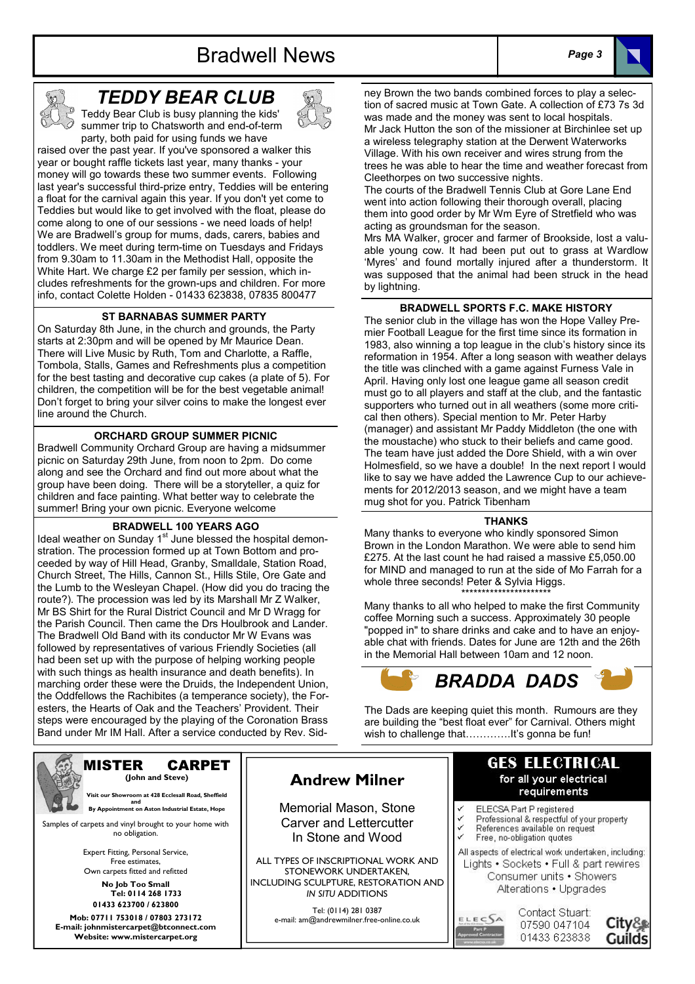# Bradwell News Page 3





# TEDDY BEAR CLUB

Teddy Bear Club is busy planning the kids' summer trip to Chatsworth and end-of-term party, both paid for using funds we have

raised over the past year. If you've sponsored a walker this year or bought raffle tickets last year, many thanks - your money will go towards these two summer events. Following last year's successful third-prize entry, Teddies will be entering a float for the carnival again this year. If you don't yet come to Teddies but would like to get involved with the float, please do come along to one of our sessions - we need loads of help! We are Bradwell's group for mums, dads, carers, babies and toddlers. We meet during term-time on Tuesdays and Fridays from 9.30am to 11.30am in the Methodist Hall, opposite the White Hart. We charge £2 per family per session, which includes refreshments for the grown-ups and children. For more info, contact Colette Holden - 01433 623838, 07835 800477

# ST BARNABAS SUMMER PARTY

On Saturday 8th June, in the church and grounds, the Party starts at 2:30pm and will be opened by Mr Maurice Dean. There will Live Music by Ruth, Tom and Charlotte, a Raffle, Tombola, Stalls, Games and Refreshments plus a competition for the best tasting and decorative cup cakes (a plate of 5). For children, the competition will be for the best vegetable animal! Don't forget to bring your silver coins to make the longest ever line around the Church.

### ORCHARD GROUP SUMMER PICNIC

Bradwell Community Orchard Group are having a midsummer picnic on Saturday 29th June, from noon to 2pm. Do come along and see the Orchard and find out more about what the group have been doing. There will be a storyteller, a quiz for children and face painting. What better way to celebrate the summer! Bring your own picnic. Everyone welcome

# BRADWELL 100 YEARS AGO

Ideal weather on Sunday 1<sup>st</sup> June blessed the hospital demonstration. The procession formed up at Town Bottom and proceeded by way of Hill Head, Granby, Smalldale, Station Road, Church Street, The Hills, Cannon St., Hills Stile, Ore Gate and the Lumb to the Wesleyan Chapel. (How did you do tracing the route?). The procession was led by its Marshall Mr Z Walker, Mr BS Shirt for the Rural District Council and Mr D Wragg for the Parish Council. Then came the Drs Houlbrook and Lander. The Bradwell Old Band with its conductor Mr W Evans was followed by representatives of various Friendly Societies (all had been set up with the purpose of helping working people with such things as health insurance and death benefits). In marching order these were the Druids, the Independent Union, the Oddfellows the Rachibites (a temperance society), the Foresters, the Hearts of Oak and the Teachers' Provident. Their steps were encouraged by the playing of the Coronation Brass Band under Mr IM Hall. After a service conducted by Rev. Sidney Brown the two bands combined forces to play a selection of sacred music at Town Gate. A collection of £73 7s 3d was made and the money was sent to local hospitals. Mr Jack Hutton the son of the missioner at Birchinlee set up a wireless telegraphy station at the Derwent Waterworks Village. With his own receiver and wires strung from the trees he was able to hear the time and weather forecast from Cleethorpes on two successive nights.

The courts of the Bradwell Tennis Club at Gore Lane End went into action following their thorough overall, placing them into good order by Mr Wm Eyre of Stretfield who was acting as groundsman for the season.

Mrs MA Walker, grocer and farmer of Brookside, lost a valuable young cow. It had been put out to grass at Wardlow 'Myres' and found mortally injured after a thunderstorm. It was supposed that the animal had been struck in the head by lightning.

#### BRADWELL SPORTS F.C. MAKE HISTORY

The senior club in the village has won the Hope Valley Premier Football League for the first time since its formation in 1983, also winning a top league in the club's history since its reformation in 1954. After a long season with weather delays the title was clinched with a game against Furness Vale in April. Having only lost one league game all season credit must go to all players and staff at the club, and the fantastic supporters who turned out in all weathers (some more critical then others). Special mention to Mr. Peter Harby (manager) and assistant Mr Paddy Middleton (the one with the moustache) who stuck to their beliefs and came good. The team have just added the Dore Shield, with a win over Holmesfield, so we have a double! In the next report I would like to say we have added the Lawrence Cup to our achievements for 2012/2013 season, and we might have a team mug shot for you. Patrick Tibenham

#### THANKS

Many thanks to everyone who kindly sponsored Simon Brown in the London Marathon. We were able to send him £275. At the last count he had raised a massive £5,050.00 for MIND and managed to run at the side of Mo Farrah for a whole three seconds! Peter & Sylvia Higgs. \*\*\*\*\*\*\*\*\*\*\*\*\*\*\*\*\*\*\*\*\*\*

Many thanks to all who helped to make the first Community coffee Morning such a success. Approximately 30 people "popped in" to share drinks and cake and to have an enjoyable chat with friends. Dates for June are 12th and the 26th in the Memorial Hall between 10am and 12 noon.



The Dads are keeping quiet this month. Rumours are they are building the "best float ever" for Carnival. Others might wish to challenge thatPPPP.It's gonna be fun!



#### MISTER CARPET (John and Steve)

 Visit our Showroom at 428 Ecclesall Road, Sheffield and and **By Appointment on Aston Industrial Estate, Hope** 

Samples of carpets and vinyl brought to your home with no obligation.

> Expert Fitting, Personal Service, Free estimates, Own carpets fitted and refitted

No Job Too Small Tel: 0114 268 1733 01433 623700 / 623800

Mob: 07711 753018 / 07803 273172 E-mail: johnmistercarpet@btconnect.com Website: www.mistercarpet.org

# Andrew Milner

Memorial Mason, Stone Carver and Lettercutter In Stone and Wood

ALL TYPES OF INSCRIPTIONAL WORK AND STONEWORK UNDERTAKEN, INCLUDING SCULPTURE, RESTORATION AND IN SITU ADDITIONS

> Tel: (0114) 281 0387 e-mail: am@andrewmilner.free-online.co.uk

# **GES ELECTRICAL** for all your electrical requirements

- V ELECSA Part P registered
- Professional & respectful of your property References available on request
- Free, no-obligation quotes
- All aspects of electrical work undertaken, including: Lights • Sockets • Full & part rewires Consumer units . Showers

Alterations . Upgrades